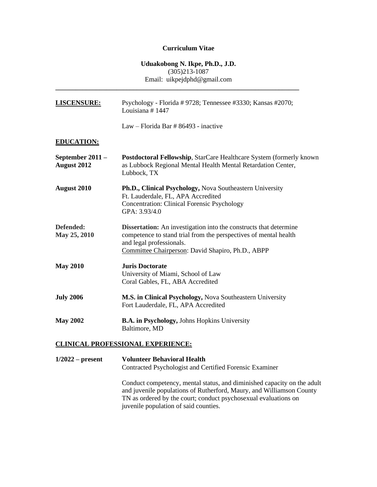# **Curriculum Vitae**

# **Uduakobong N. Ikpe, Ph.D., J.D.**  $(305)213 - 1087$ Email: uikpejdphd@gmail.com

| LISCENSURE:                            | Psychology - Florida # 9728; Tennessee #3330; Kansas #2070;<br>Louisiana #1447                                                                                                                                                |
|----------------------------------------|-------------------------------------------------------------------------------------------------------------------------------------------------------------------------------------------------------------------------------|
|                                        | Law – Florida Bar # 86493 - inactive                                                                                                                                                                                          |
| <b>EDUCATION:</b>                      |                                                                                                                                                                                                                               |
| September 2011 -<br><b>August 2012</b> | Postdoctoral Fellowship, StarCare Healthcare System (formerly known<br>as Lubbock Regional Mental Health Mental Retardation Center,<br>Lubbock, TX                                                                            |
| <b>August 2010</b>                     | Ph.D., Clinical Psychology, Nova Southeastern University<br>Ft. Lauderdale, FL, APA Accredited<br><b>Concentration: Clinical Forensic Psychology</b><br>GPA: 3.93/4.0                                                         |
| Defended:<br>May 25, 2010              | <b>Dissertation:</b> An investigation into the constructs that determine<br>competence to stand trial from the perspectives of mental health<br>and legal professionals.<br>Committee Chairperson: David Shapiro, Ph.D., ABPP |
| <b>May 2010</b>                        | <b>Juris Doctorate</b><br>University of Miami, School of Law<br>Coral Gables, FL, ABA Accredited                                                                                                                              |
| <b>July 2006</b>                       | M.S. in Clinical Psychology, Nova Southeastern University<br>Fort Lauderdale, FL, APA Accredited                                                                                                                              |
| <b>May 2002</b>                        | <b>B.A. in Psychology, Johns Hopkins University</b><br>Baltimore, MD                                                                                                                                                          |

**1/2022 – present Volunteer Behavioral Health** Contracted Psychologist and Certified Forensic Examiner Conduct competency, mental status, and diminished capacity on the adult

and juvenile populations of Rutherford, Maury, and Williamson County TN as ordered by the court; conduct psychosexual evaluations on juvenile population of said counties.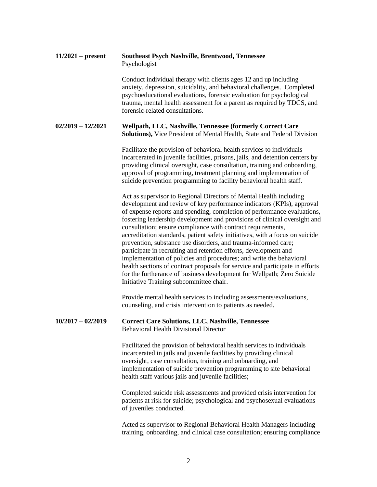| $11/2021$ – present | <b>Southeast Psych Nashville, Brentwood, Tennessee</b><br>Psychologist                                                                                                                                                                                                                                                                                                                                                                                                                                                                                                                                                                                                                                                                                                                                                                                               |
|---------------------|----------------------------------------------------------------------------------------------------------------------------------------------------------------------------------------------------------------------------------------------------------------------------------------------------------------------------------------------------------------------------------------------------------------------------------------------------------------------------------------------------------------------------------------------------------------------------------------------------------------------------------------------------------------------------------------------------------------------------------------------------------------------------------------------------------------------------------------------------------------------|
|                     | Conduct individual therapy with clients ages 12 and up including<br>anxiety, depression, suicidality, and behavioral challenges. Completed<br>psychoeducational evaluations, forensic evaluation for psychological<br>trauma, mental health assessment for a parent as required by TDCS, and<br>forensic-related consultations.                                                                                                                                                                                                                                                                                                                                                                                                                                                                                                                                      |
| $02/2019 - 12/2021$ | Wellpath, LLC, Nashville, Tennessee (formerly Correct Care<br>Solutions), Vice President of Mental Health, State and Federal Division                                                                                                                                                                                                                                                                                                                                                                                                                                                                                                                                                                                                                                                                                                                                |
|                     | Facilitate the provision of behavioral health services to individuals<br>incarcerated in juvenile facilities, prisons, jails, and detention centers by<br>providing clinical oversight, case consultation, training and onboarding,<br>approval of programming, treatment planning and implementation of<br>suicide prevention programming to facility behavioral health staff.                                                                                                                                                                                                                                                                                                                                                                                                                                                                                      |
|                     | Act as supervisor to Regional Directors of Mental Health including<br>development and review of key performance indicators (KPIs), approval<br>of expense reports and spending, completion of performance evaluations,<br>fostering leadership development and provisions of clinical oversight and<br>consultation; ensure compliance with contract requirements,<br>accreditation standards, patient safety initiatives, with a focus on suicide<br>prevention, substance use disorders, and trauma-informed care;<br>participate in recruiting and retention efforts, development and<br>implementation of policies and procedures; and write the behavioral<br>health sections of contract proposals for service and participate in efforts<br>for the furtherance of business development for Wellpath; Zero Suicide<br>Initiative Training subcommittee chair. |
|                     | Provide mental health services to including assessments/evaluations,<br>counseling, and crisis intervention to patients as needed.                                                                                                                                                                                                                                                                                                                                                                                                                                                                                                                                                                                                                                                                                                                                   |
| $10/2017 - 02/2019$ | <b>Correct Care Solutions, LLC, Nashville, Tennessee</b><br><b>Behavioral Health Divisional Director</b>                                                                                                                                                                                                                                                                                                                                                                                                                                                                                                                                                                                                                                                                                                                                                             |
|                     | Facilitated the provision of behavioral health services to individuals<br>incarcerated in jails and juvenile facilities by providing clinical<br>oversight, case consultation, training and onboarding, and<br>implementation of suicide prevention programming to site behavioral<br>health staff various jails and juvenile facilities;                                                                                                                                                                                                                                                                                                                                                                                                                                                                                                                            |
|                     | Completed suicide risk assessments and provided crisis intervention for<br>patients at risk for suicide; psychological and psychosexual evaluations<br>of juveniles conducted.                                                                                                                                                                                                                                                                                                                                                                                                                                                                                                                                                                                                                                                                                       |
|                     | Acted as supervisor to Regional Behavioral Health Managers including<br>training, onboarding, and clinical case consultation; ensuring compliance                                                                                                                                                                                                                                                                                                                                                                                                                                                                                                                                                                                                                                                                                                                    |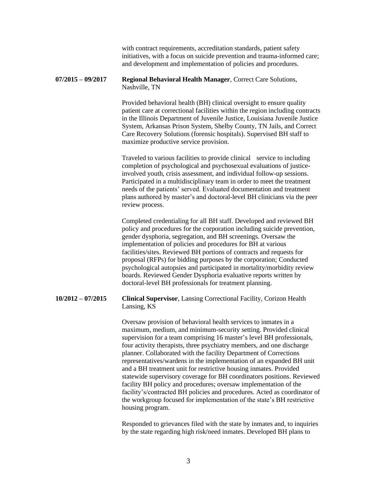with contract requirements, accreditation standards, patient safety initiatives, with a focus on suicide prevention and trauma-informed care; and development and implementation of policies and procedures.

### **07/2015 – 09/2017 Regional Behavioral Health Manager**, Correct Care Solutions, Nashville, TN

Provided behavioral health (BH) clinical oversight to ensure quality patient care at correctional facilities within the region including contracts in the Illinois Department of Juvenile Justice, Louisiana Juvenile Justice System, Arkansas Prison System, Shelby County, TN Jails, and Correct Care Recovery Solutions (forensic hospitals). Supervised BH staff to maximize productive service provision.

Traveled to various facilities to provide clinical service to including completion of psychological and psychosexual evaluations of justiceinvolved youth, crisis assessment, and individual follow-up sessions. Participated in a multidisciplinary team in order to meet the treatment needs of the patients' served. Evaluated documentation and treatment plans authored by master's and doctoral-level BH clinicians via the peer review process.

Completed credentialing for all BH staff. Developed and reviewed BH policy and procedures for the corporation including suicide prevention, gender dysphoria, segregation, and BH screenings. Oversaw the implementation of policies and procedures for BH at various facilities/sites. Reviewed BH portions of contracts and requests for proposal (RFPs) for bidding purposes by the corporation; Conducted psychological autopsies and participated in mortality/morbidity review boards. Reviewed Gender Dysphoria evaluative reports written by doctoral-level BH professionals for treatment planning.

### **10/2012 – 07/2015 Clinical Supervisor**, Lansing Correctional Facility, Corizon Health Lansing, KS

Oversaw provision of behavioral health services to inmates in a maximum, medium, and minimum-security setting. Provided clinical supervision for a team comprising 16 master's level BH professionals, four activity therapists, three psychiatry members, and one discharge planner. Collaborated with the facility Department of Corrections representatives/wardens in the implementation of an expanded BH unit and a BH treatment unit for restrictive housing inmates. Provided statewide supervisory coverage for BH coordinators positions. Reviewed facility BH policy and procedures; oversaw implementation of the facility's/contracted BH policies and procedures. Acted as coordinator of the workgroup focused for implementation of the state's BH restrictive housing program.

Responded to grievances filed with the state by inmates and, to inquiries by the state regarding high risk/need inmates. Developed BH plans to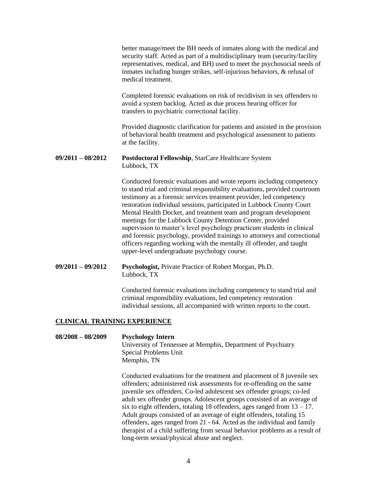better manage/meet the BH needs of inmates along with the medical and security staff. Acted as part of a multidisciplinary team (security/facility representatives, medical, and BH) used to meet the psychosocial needs of inmates including hunger strikes, self-injurious behaviors, & refusal of medical treatment.

Completed forensic evaluations on risk of recidivism in sex offenders to avoid a system backlog. Acted as due process hearing officer for transfers to psychiatric correctional facility.

Provided diagnostic clarification for patients and assisted in the provision of behavioral health treatment and psychological assessment to patients at the facility.

#### **09/2011 – 08/2012 Postdoctoral Fellowship**, StarCare Healthcare System Lubbock, TX

Conducted forensic evaluations and wrote reports including competency to stand trial and criminal responsibility evaluations, provided courtroom testimony as a forensic services treatment provider, led competency restoration individual sessions, participated in Lubbock County Court Mental Health Docket, and treatment team and program development meetings for the Lubbock County Detention Center, provided supervision to master's level psychology practicum students in clinical and forensic psychology, provided trainings to attorneys and correctional officers regarding working with the mentally ill offender, and taught upper-level undergraduate psychology course.

#### **09/2011 – 09/2012 Psychologist,** Private Practice of Robert Morgan, Ph.D. Lubbock, TX

Conducted forensic evaluations including competency to stand trial and criminal responsibility evaluations, led competency restoration individual sessions, all accompanied with written reports to the court.

### **CLINICAL TRAINING EXPERIENCE**

# **08/2008 – 08/2009 Psychology Intern** University of Tennessee at Memphis, Department of Psychiatry Special Problems Unit Memphis, TN

Conducted evaluations for the treatment and placement of 8 juvenile sex offenders; administered risk assessments for re-offending on the same juvenile sex offenders. Co-led adolescent sex offender groups; co-led adult sex offender groups. Adolescent groups consisted of an average of six to eight offenders, totaling 18 offenders, ages ranged from  $13 - 17$ . Adult groups consisted of an average of eight offenders, totaling 15 offenders, ages ranged from 21 - 64. Acted as the individual and family therapist of a child suffering from sexual behavior problems as a result of long-term sexual/physical abuse and neglect.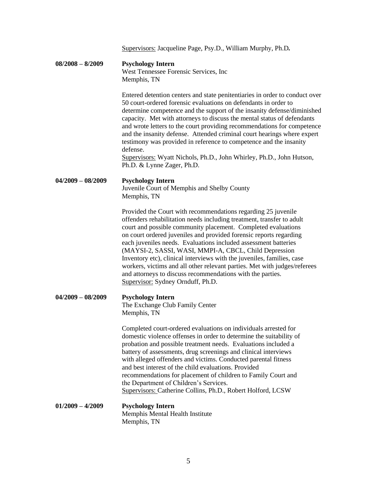|                     | Supervisors: Jacqueline Page, Psy.D., William Murphy, Ph.D.                                                                                                                                                                                                                                                                                                                                                                                                                                                                                                                                                                                                         |
|---------------------|---------------------------------------------------------------------------------------------------------------------------------------------------------------------------------------------------------------------------------------------------------------------------------------------------------------------------------------------------------------------------------------------------------------------------------------------------------------------------------------------------------------------------------------------------------------------------------------------------------------------------------------------------------------------|
| $08/2008 - 8/2009$  | <b>Psychology Intern</b><br>West Tennessee Forensic Services, Inc.<br>Memphis, TN                                                                                                                                                                                                                                                                                                                                                                                                                                                                                                                                                                                   |
|                     | Entered detention centers and state penitentiaries in order to conduct over<br>50 court-ordered forensic evaluations on defendants in order to<br>determine competence and the support of the insanity defense/diminished<br>capacity. Met with attorneys to discuss the mental status of defendants<br>and wrote letters to the court providing recommendations for competence<br>and the insanity defense. Attended criminal court hearings where expert<br>testimony was provided in reference to competence and the insanity<br>defense.<br><b>Supervisors:</b> Wyatt Nichols, Ph.D., John Whirley, Ph.D., John Hutson,<br>Ph.D. & Lynne Zager, Ph.D.           |
| $04/2009 - 08/2009$ | <b>Psychology Intern</b><br>Juvenile Court of Memphis and Shelby County<br>Memphis, TN                                                                                                                                                                                                                                                                                                                                                                                                                                                                                                                                                                              |
|                     | Provided the Court with recommendations regarding 25 juvenile<br>offenders rehabilitation needs including treatment, transfer to adult<br>court and possible community placement. Completed evaluations<br>on court ordered juveniles and provided forensic reports regarding<br>each juveniles needs. Evaluations included assessment batteries<br>(MAYSI-2, SASSI, WASI, MMPI-A, CBCL, Child Depression<br>Inventory etc), clinical interviews with the juveniles, families, case<br>workers, victims and all other relevant parties. Met with judges/referees<br>and attorneys to discuss recommendations with the parties.<br>Supervisor: Sydney Ornduff, Ph.D. |
| $04/2009 - 08/2009$ | <b>Psychology Intern</b><br>The Exchange Club Family Center<br>Memphis, TN                                                                                                                                                                                                                                                                                                                                                                                                                                                                                                                                                                                          |
|                     | Completed court-ordered evaluations on individuals arrested for<br>domestic violence offenses in order to determine the suitability of<br>probation and possible treatment needs. Evaluations included a<br>battery of assessments, drug screenings and clinical interviews<br>with alleged offenders and victims. Conducted parental fitness<br>and best interest of the child evaluations. Provided<br>recommendations for placement of children to Family Court and<br>the Department of Children's Services.<br>Supervisors: Catherine Collins, Ph.D., Robert Holford, LCSW                                                                                     |
| $01/2009 - 4/2009$  | <b>Psychology Intern</b><br>Memphis Mental Health Institute<br>Memphis, TN                                                                                                                                                                                                                                                                                                                                                                                                                                                                                                                                                                                          |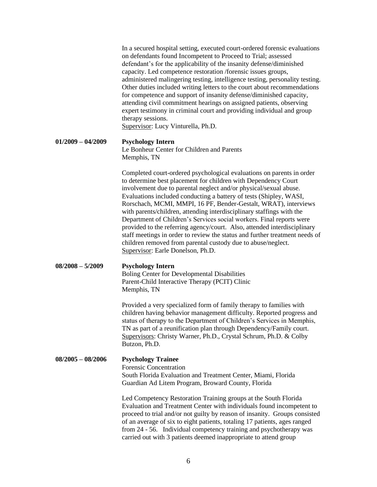|                     | In a secured hospital setting, executed court-ordered forensic evaluations<br>on defendants found Incompetent to Proceed to Trial; assessed<br>defendant's for the applicability of the insanity defense/diminished<br>capacity. Led competence restoration /forensic issues groups,<br>administered malingering testing, intelligence testing, personality testing.<br>Other duties included writing letters to the court about recommendations<br>for competence and support of insanity defense/diminished capacity,<br>attending civil commitment hearings on assigned patients, observing<br>expert testimony in criminal court and providing individual and group<br>therapy sessions.<br>Supervisor: Lucy Vinturella, Ph.D.                                     |
|---------------------|------------------------------------------------------------------------------------------------------------------------------------------------------------------------------------------------------------------------------------------------------------------------------------------------------------------------------------------------------------------------------------------------------------------------------------------------------------------------------------------------------------------------------------------------------------------------------------------------------------------------------------------------------------------------------------------------------------------------------------------------------------------------|
| $01/2009 - 04/2009$ | <b>Psychology Intern</b><br>Le Bonheur Center for Children and Parents<br>Memphis, TN                                                                                                                                                                                                                                                                                                                                                                                                                                                                                                                                                                                                                                                                                  |
|                     | Completed court-ordered psychological evaluations on parents in order<br>to determine best placement for children with Dependency Court<br>involvement due to parental neglect and/or physical/sexual abuse.<br>Evaluations included conducting a battery of tests (Shipley, WASI,<br>Rorschach, MCMI, MMPI, 16 PF, Bender-Gestalt, WRAT), interviews<br>with parents/children, attending interdisciplinary staffings with the<br>Department of Children's Services social workers. Final reports were<br>provided to the referring agency/court. Also, attended interdisciplinary<br>staff meetings in order to review the status and further treatment needs of<br>children removed from parental custody due to abuse/neglect.<br>Supervisor: Earle Donelson, Ph.D. |
| $08/2008 - 5/2009$  | <b>Psychology Intern</b><br><b>Boling Center for Developmental Disabilities</b><br>Parent-Child Interactive Therapy (PCIT) Clinic<br>Memphis, TN                                                                                                                                                                                                                                                                                                                                                                                                                                                                                                                                                                                                                       |
|                     | Provided a very specialized form of family therapy to families with<br>children having behavior management difficulty. Reported progress and<br>status of therapy to the Department of Children's Services in Memphis,<br>TN as part of a reunification plan through Dependency/Family court.<br>Supervisors: Christy Warner, Ph.D., Crystal Schrum, Ph.D. & Colby<br>Butzon, Ph.D.                                                                                                                                                                                                                                                                                                                                                                                    |
| $08/2005 - 08/2006$ | <b>Psychology Trainee</b><br><b>Forensic Concentration</b><br>South Florida Evaluation and Treatment Center, Miami, Florida<br>Guardian Ad Litem Program, Broward County, Florida                                                                                                                                                                                                                                                                                                                                                                                                                                                                                                                                                                                      |
|                     | Led Competency Restoration Training groups at the South Florida<br>Evaluation and Treatment Center with individuals found incompetent to<br>proceed to trial and/or not guilty by reason of insanity. Groups consisted<br>of an average of six to eight patients, totaling 17 patients, ages ranged<br>from 24 - 56. Individual competency training and psychotherapy was<br>carried out with 3 patients deemed inappropriate to attend group                                                                                                                                                                                                                                                                                                                          |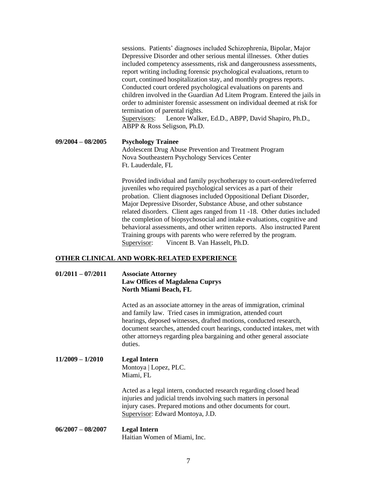sessions. Patients' diagnoses included Schizophrenia, Bipolar, Major Depressive Disorder and other serious mental illnesses. Other duties included competency assessments, risk and dangerousness assessments, report writing including forensic psychological evaluations, return to court, continued hospitalization stay, and monthly progress reports. Conducted court ordered psychological evaluations on parents and children involved in the Guardian Ad Litem Program. Entered the jails in order to administer forensic assessment on individual deemed at risk for termination of parental rights. Supervisors: Lenore Walker, Ed.D., ABPP, David Shapiro, Ph.D., ABPP & Ross Seligson, Ph.D.

**09/2004 – 08/2005 Psychology Trainee** Adolescent Drug Abuse Prevention and Treatment Program Nova Southeastern Psychology Services Center Ft. Lauderdale, FL

> Provided individual and family psychotherapy to court-ordered/referred juveniles who required psychological services as a part of their probation. Client diagnoses included Oppositional Defiant Disorder, Major Depressive Disorder, Substance Abuse, and other substance related disorders. Client ages ranged from 11 -18. Other duties included the completion of biopsychosocial and intake evaluations, cognitive and behavioral assessments, and other written reports. Also instructed Parent Training groups with parents who were referred by the program. Supervisor: Vincent B. Van Hasselt, Ph.D.

# **OTHER CLINICAL AND WORK-RELATED EXPERIENCE**

### **01/2011 – 07/2011 Associate Attorney Law Offices of Magdalena Cuprys North Miami Beach, FL**

Acted as an associate attorney in the areas of immigration, criminal and family law. Tried cases in immigration, attended court hearings, deposed witnesses, drafted motions, conducted research, document searches, attended court hearings, conducted intakes, met with other attorneys regarding plea bargaining and other general associate duties.

# **11/2009 – 1/2010 Legal Intern** Montoya | Lopez, PLC. Miami, FL

Acted as a legal intern, conducted research regarding closed head injuries and judicial trends involving such matters in personal injury cases. Prepared motions and other documents for court. Supervisor: Edward Montoya, J.D.

#### **06/2007 – 08/2007 Legal Intern** Haitian Women of Miami, Inc.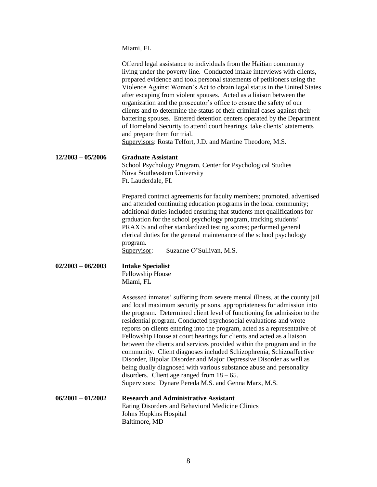Miami, FL

|                     | Offered legal assistance to individuals from the Haitian community<br>living under the poverty line. Conducted intake interviews with clients,<br>prepared evidence and took personal statements of petitioners using the<br>Violence Against Women's Act to obtain legal status in the United States<br>after escaping from violent spouses. Acted as a liaison between the<br>organization and the prosecutor's office to ensure the safety of our<br>clients and to determine the status of their criminal cases against their<br>battering spouses. Entered detention centers operated by the Department<br>of Homeland Security to attend court hearings, take clients' statements<br>and prepare them for trial.<br>Supervisors: Rosta Telfort, J.D. and Martine Theodore, M.S.                                                                                 |
|---------------------|-----------------------------------------------------------------------------------------------------------------------------------------------------------------------------------------------------------------------------------------------------------------------------------------------------------------------------------------------------------------------------------------------------------------------------------------------------------------------------------------------------------------------------------------------------------------------------------------------------------------------------------------------------------------------------------------------------------------------------------------------------------------------------------------------------------------------------------------------------------------------|
| $12/2003 - 05/2006$ | <b>Graduate Assistant</b><br>School Psychology Program, Center for Psychological Studies<br>Nova Southeastern University<br>Ft. Lauderdale, FL                                                                                                                                                                                                                                                                                                                                                                                                                                                                                                                                                                                                                                                                                                                        |
|                     | Prepared contract agreements for faculty members; promoted, advertised<br>and attended continuing education programs in the local community;<br>additional duties included ensuring that students met qualifications for<br>graduation for the school psychology program, tracking students'<br>PRAXIS and other standardized testing scores; performed general<br>clerical duties for the general maintenance of the school psychology<br>program.<br>Suzanne O'Sullivan, M.S.<br>Supervisor:                                                                                                                                                                                                                                                                                                                                                                        |
| $02/2003 - 06/2003$ | <b>Intake Specialist</b><br>Fellowship House<br>Miami, FL                                                                                                                                                                                                                                                                                                                                                                                                                                                                                                                                                                                                                                                                                                                                                                                                             |
|                     | Assessed inmates' suffering from severe mental illness, at the county jail<br>and local maximum security prisons, appropriateness for admission into<br>the program. Determined client level of functioning for admission to the<br>residential program. Conducted psychosocial evaluations and wrote<br>reports on clients entering into the program, acted as a representative of<br>Fellowship House at court hearings for clients and acted as a liaison<br>between the clients and services provided within the program and in the<br>community. Client diagnoses included Schizophrenia, Schizoaffective<br>Disorder, Bipolar Disorder and Major Depressive Disorder as well as<br>being dually diagnosed with various substance abuse and personality<br>disorders. Client age ranged from $18 - 65$ .<br>Supervisors: Dynare Pereda M.S. and Genna Marx, M.S. |
| $06/2001 - 01/2002$ | <b>Research and Administrative Assistant</b><br>Eating Disorders and Behavioral Medicine Clinics<br>Johns Hopkins Hospital<br>Baltimore, MD                                                                                                                                                                                                                                                                                                                                                                                                                                                                                                                                                                                                                                                                                                                           |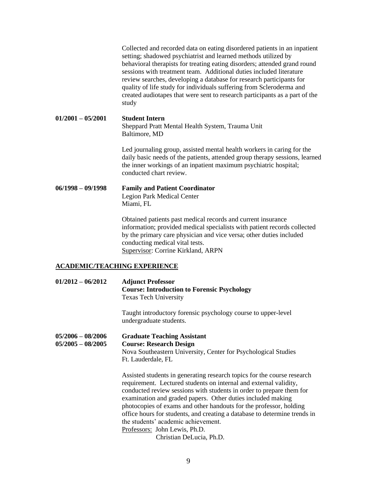|                                     | Collected and recorded data on eating disordered patients in an inpatient<br>setting; shadowed psychiatrist and learned methods utilized by<br>behavioral therapists for treating eating disorders; attended grand round<br>sessions with treatment team. Additional duties included literature<br>review searches, developing a database for research participants for<br>quality of life study for individuals suffering from Scleroderma and<br>created audiotapes that were sent to research participants as a part of the<br>study |
|-------------------------------------|-----------------------------------------------------------------------------------------------------------------------------------------------------------------------------------------------------------------------------------------------------------------------------------------------------------------------------------------------------------------------------------------------------------------------------------------------------------------------------------------------------------------------------------------|
| $01/2001 - 05/2001$                 | <b>Student Intern</b><br>Sheppard Pratt Mental Health System, Trauma Unit<br>Baltimore, MD                                                                                                                                                                                                                                                                                                                                                                                                                                              |
|                                     | Led journaling group, assisted mental health workers in caring for the<br>daily basic needs of the patients, attended group therapy sessions, learned<br>the inner workings of an inpatient maximum psychiatric hospital;<br>conducted chart review.                                                                                                                                                                                                                                                                                    |
| $06/1998 - 09/1998$                 | <b>Family and Patient Coordinator</b><br><b>Legion Park Medical Center</b><br>Miami, FL                                                                                                                                                                                                                                                                                                                                                                                                                                                 |
|                                     | Obtained patients past medical records and current insurance<br>information; provided medical specialists with patient records collected<br>by the primary care physician and vice versa; other duties included<br>conducting medical vital tests.<br>Supervisor: Corrine Kirkland, ARPN                                                                                                                                                                                                                                                |
| <b>ACADEMIC/TEACHING EXPERIENCE</b> |                                                                                                                                                                                                                                                                                                                                                                                                                                                                                                                                         |

## **01/2012 – 06/2012 Adjunct Professor Course: Introduction to Forensic Psychology** Texas Tech University

Taught introductory forensic psychology course to upper-level undergraduate students.

**05/2006 – 08/2006 Graduate Teaching Assistant 05/2005 – 08/2005 Course: Research Design** Nova Southeastern University, Center for Psychological Studies Ft. Lauderdale, FL

> Assisted students in generating research topics for the course research requirement. Lectured students on internal and external validity, conducted review sessions with students in order to prepare them for examination and graded papers. Other duties included making photocopies of exams and other handouts for the professor, holding office hours for students, and creating a database to determine trends in the students' academic achievement. Professors: John Lewis, Ph.D.

Christian DeLucia, Ph.D.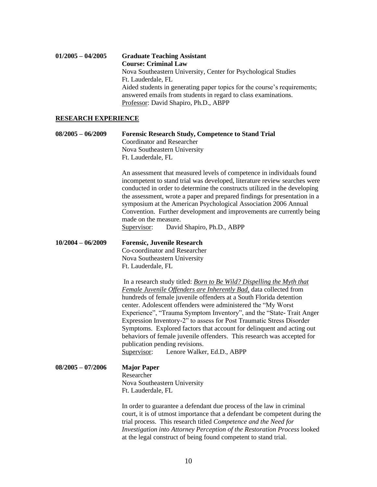# **01/2005 – 04/2005 Graduate Teaching Assistant Course: Criminal Law** Nova Southeastern University, Center for Psychological Studies Ft. Lauderdale, FL Aided students in generating paper topics for the course's requirements; answered emails from students in regard to class examinations. Professor: David Shapiro, Ph.D., ABPP

### **RESEARCH EXPERIENCE**

### **08/2005 – 06/2009 Forensic Research Study, Competence to Stand Trial** Coordinator and Researcher Nova Southeastern University Ft. Lauderdale, FL

An assessment that measured levels of competence in individuals found incompetent to stand trial was developed, literature review searches were conducted in order to determine the constructs utilized in the developing the assessment, wrote a paper and prepared findings for presentation in a symposium at the American Psychological Association 2006 Annual Convention. Further development and improvements are currently being made on the measure.

Supervisor: David Shapiro, Ph.D., ABPP

### **10/2004 – 06/2009 Forensic, Juvenile Research**  Co-coordinator and Researcher Nova Southeastern University Ft. Lauderdale, FL

In a research study titled: *Born to Be Wild? Dispelling the Myth that Female Juvenile Offenders are Inherently Bad,* data collected from hundreds of female juvenile offenders at a South Florida detention center. Adolescent offenders were administered the "My Worst Experience", "Trauma Symptom Inventory", and the "State- Trait Anger Expression Inventory-2" to assess for Post Traumatic Stress Disorder Symptoms. Explored factors that account for delinquent and acting out behaviors of female juvenile offenders. This research was accepted for publication pending revisions. Supervisor: Lenore Walker, Ed.D., ABPP

# **08/2005 – 07/2006 Major Paper** Researcher Nova Southeastern University Ft. Lauderdale, FL

In order to guarantee a defendant due process of the law in criminal court, it is of utmost importance that a defendant be competent during the trial process. This research titled *Competence and the Need for Investigation into Attorney Perception of the Restoration Process* looked at the legal construct of being found competent to stand trial.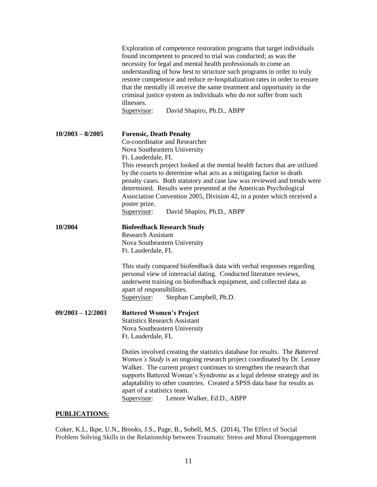|                     | Exploration of competence restoration programs that target individuals<br>found incompetent to proceed to trial was conducted; as was the<br>necessity for legal and mental health professionals to come an<br>understanding of how best to structure such programs in order to truly<br>restore competence and reduce re-hospitalization rates in order to ensure<br>that the mentally ill receive the same treatment and opportunity in the<br>criminal justice system as individuals who do not suffer from such<br>illnesses.<br>Supervisor:<br>David Shapiro, Ph.D., ABPP |
|---------------------|--------------------------------------------------------------------------------------------------------------------------------------------------------------------------------------------------------------------------------------------------------------------------------------------------------------------------------------------------------------------------------------------------------------------------------------------------------------------------------------------------------------------------------------------------------------------------------|
| $10/2003 - 8/2005$  | <b>Forensic, Death Penalty</b><br>Co-coordinator and Researcher<br>Nova Southeastern University<br>Ft. Lauderdale, FL<br>This research project looked at the mental health factors that are utilized                                                                                                                                                                                                                                                                                                                                                                           |
|                     | by the courts to determine what acts as a mitigating factor in death<br>penalty cases. Both statutory and case law was reviewed and trends were<br>determined. Results were presented at the American Psychological<br>Association Convention 2005, Division 42, in a poster which received a<br>poster prize.<br>Supervisor:<br>David Shapiro, Ph.D., ABPP                                                                                                                                                                                                                    |
| 10/2004             | <b>Biofeedback Research Study</b><br><b>Research Assistant</b><br>Nova Southeastern University<br>Ft. Lauderdale, FL                                                                                                                                                                                                                                                                                                                                                                                                                                                           |
|                     | This study compared biofeedback data with verbal responses regarding<br>personal view of interracial dating. Conducted literature reviews,<br>underwent training on biofeedback equipment, and collected data as<br>apart of responsibilities.<br>Supervisor:<br>Stephan Campbell, Ph.D.                                                                                                                                                                                                                                                                                       |
| $09/2003 - 12/2003$ | <b>Battered Women's Project</b><br><b>Statistics Research Assistant</b><br>Nova Southeastern University<br>Ft. Lauderdale, FL                                                                                                                                                                                                                                                                                                                                                                                                                                                  |
|                     | Duties involved creating the statistics database for results. The Battered<br>Women's Study is an ongoing research project coordinated by Dr. Lenore<br>Walker. The current project continues to strengthen the research that<br>supports Battered Woman's Syndrome as a legal defense strategy and its<br>adaptability to other countries. Created a SPSS data base for results as                                                                                                                                                                                            |

# **PUBLICATIONS:**

Coker, K.L, Ikpe, U.N., Brooks, J.S., Page, B., Sobell, M.S. (2014), The Effect of Social Problem Solving Skills in the Relationship between Traumatic Stress and Moral Disengagement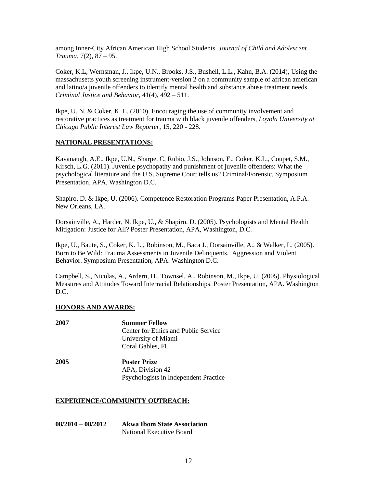among Inner-City African American High School Students. *Journal of Child and Adolescent Trauma*, 7(2), 87 – 95.

Coker, K.L, Wernsman, J., Ikpe, U.N., Brooks, J.S., Bushell, L.L., Kahn, B.A. (2014), Using the massachusetts youth screening instrument-version 2 on a community sample of african american and latino/a juvenile offenders to identify mental health and substance abuse treatment needs. *Criminal Justice and Behavior*, 41(4), 492 – 511.

Ikpe, U. N. & Coker, K. L. (2010). Encouraging the use of community involvement and restorative practices as treatment for trauma with black juvenile offenders, *Loyola University at Chicago Public Interest Law Reporter*, 15, 220 - 228.

### **NATIONAL PRESENTATIONS:**

Kavanaugh, A.E., Ikpe, U.N., Sharpe, C, Rubio, J.S., Johnson, E., Coker, K.L., Coupet, S.M., Kirsch, L.G. (2011). Juvenile psychopathy and punishment of juvenile offenders: What the psychological literature and the U.S. Supreme Court tells us? Criminal/Forensic, Symposium Presentation, APA, Washington D.C.

Shapiro, D. & Ikpe, U. (2006). Competence Restoration Programs Paper Presentation, A.P.A. New Orleans, LA.

Dorsainville, A., Harder, N. Ikpe, U., & Shapiro, D. (2005). Psychologists and Mental Health Mitigation: Justice for All? Poster Presentation, APA, Washington, D.C.

Ikpe, U., Baute, S., Coker, K. L., Robinson, M., Baca J., Dorsainville, A., & Walker, L. (2005). Born to Be Wild: Trauma Assessments in Juvenile Delinquents. Aggression and Violent Behavior. Symposium Presentation, APA. Washington D.C.

Campbell, S., Nicolas, A., Ardern, H., Townsel, A., Robinson, M., Ikpe, U. (2005). Physiological Measures and Attitudes Toward Interracial Relationships. Poster Presentation, APA. Washington D.C.

### **HONORS AND AWARDS:**

| 2007 | <b>Summer Fellow</b>                  |
|------|---------------------------------------|
|      | Center for Ethics and Public Service  |
|      | University of Miami                   |
|      | Coral Gables, FL                      |
| 2005 | <b>Poster Prize</b>                   |
|      | APA, Division 42                      |
|      | Psychologists in Independent Practice |
|      |                                       |

### **EXPERIENCE/COMMUNITY OUTREACH:**

| $08/2010 - 08/2012$ | <b>Akwa Ibom State Association</b> |
|---------------------|------------------------------------|
|                     | National Executive Board           |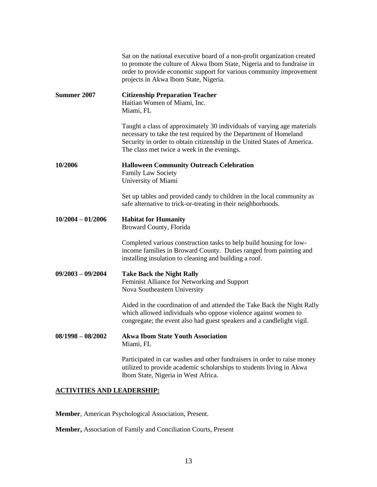|                     | Sat on the national executive board of a non-profit organization created<br>to promote the culture of Akwa Ibom State, Nigeria and to fundraise in<br>order to provide economic support for various community improvement<br>projects in Akwa Ibom State, Nigeria.      |
|---------------------|-------------------------------------------------------------------------------------------------------------------------------------------------------------------------------------------------------------------------------------------------------------------------|
| Summer 2007         | <b>Citizenship Preparation Teacher</b><br>Haitian Women of Miami, Inc.<br>Miami, FL                                                                                                                                                                                     |
|                     | Taught a class of approximately 30 individuals of varying age materials<br>necessary to take the test required by the Department of Homeland<br>Security in order to obtain citizenship in the United States of America.<br>The class met twice a week in the evenings. |
| 10/2006             | <b>Halloween Community Outreach Celebration</b><br><b>Family Law Society</b><br>University of Miami                                                                                                                                                                     |
|                     | Set up tables and provided candy to children in the local community as<br>safe alternative to trick-or-treating in their neighborhoods.                                                                                                                                 |
| $10/2004 - 01/2006$ | <b>Habitat for Humanity</b><br>Broward County, Florida                                                                                                                                                                                                                  |
|                     | Completed various construction tasks to help build housing for low-<br>income families in Broward County. Duties ranged from painting and<br>installing insulation to cleaning and building a roof.                                                                     |
| $09/2003 - 09/2004$ | <b>Take Back the Night Rally</b><br>Feminist Alliance for Networking and Support<br>Nova Southeastern University                                                                                                                                                        |
|                     | Aided in the coordination of and attended the Take Back the Night Rally<br>which allowed individuals who oppose violence against women to<br>congregate; the event also had guest speakers and a candlelight vigil.                                                     |
| $08/1998 - 08/2002$ | <b>Akwa Ibom State Youth Association</b><br>Miami, FL                                                                                                                                                                                                                   |
|                     | Participated in car washes and other fundraisers in order to raise money<br>utilized to provide academic scholarships to students living in Akwa<br>Ibom State, Nigeria in West Africa.                                                                                 |

# **ACTIVITIES AND LEADERSHIP:**

**Member**, American Psychological Association, Present.

**Member,** Association of Family and Conciliation Courts, Present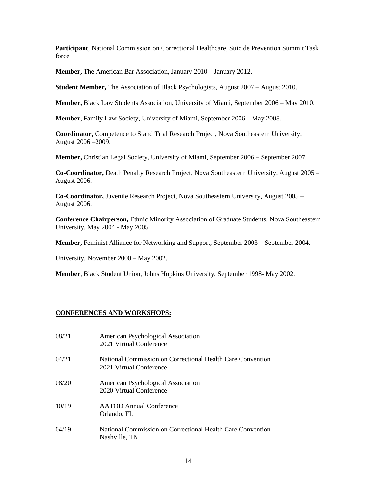**Participant**, National Commission on Correctional Healthcare, Suicide Prevention Summit Task force

**Member,** The American Bar Association, January 2010 – January 2012.

**Student Member,** The Association of Black Psychologists, August 2007 – August 2010.

**Member,** Black Law Students Association, University of Miami, September 2006 – May 2010.

**Member**, Family Law Society, University of Miami, September 2006 – May 2008.

**Coordinator,** Competence to Stand Trial Research Project, Nova Southeastern University, August 2006 –2009.

**Member,** Christian Legal Society, University of Miami, September 2006 – September 2007.

**Co-Coordinator,** Death Penalty Research Project, Nova Southeastern University, August 2005 – August 2006.

**Co-Coordinator,** Juvenile Research Project, Nova Southeastern University, August 2005 – August 2006.

**Conference Chairperson,** Ethnic Minority Association of Graduate Students, Nova Southeastern University, May 2004 - May 2005.

**Member,** Feminist Alliance for Networking and Support, September 2003 – September 2004.

University, November 2000 – May 2002.

**Member**, Black Student Union, Johns Hopkins University, September 1998- May 2002.

# **CONFERENCES AND WORKSHOPS:**

| 08/21 | American Psychological Association<br>2021 Virtual Conference                         |
|-------|---------------------------------------------------------------------------------------|
| 04/21 | National Commission on Correctional Health Care Convention<br>2021 Virtual Conference |
| 08/20 | American Psychological Association<br>2020 Virtual Conference                         |
| 10/19 | <b>AATOD</b> Annual Conference<br>Orlando, FL                                         |
| 04/19 | National Commission on Correctional Health Care Convention<br>Nashville, TN           |